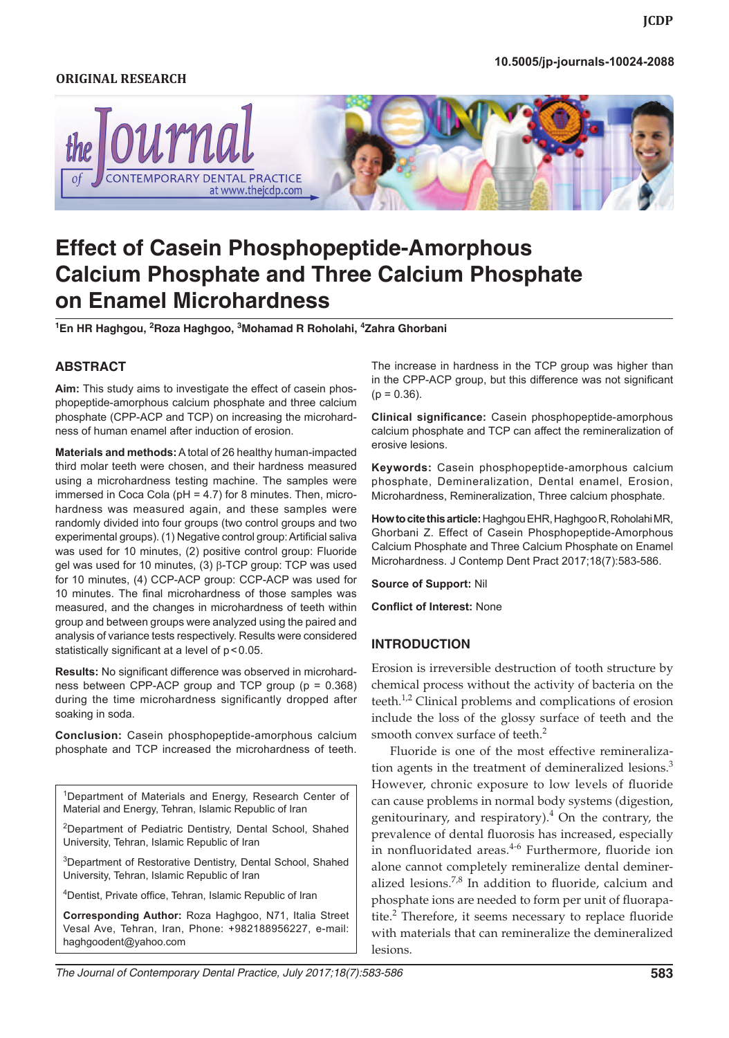### *Effect of CCP-ACP and TCP on Enamel Microhardness* **10.5005/jp-journals-10024-2088**

### **ORIGINAL RESEARCH**



# **Effect of Casein Phosphopeptide-Amorphous Calcium Phosphate and Three Calcium Phosphate on Enamel Microhardness**

**1 En HR Haghgou, 2 Roza Haghgoo, 3 Mohamad R Roholahi, 4 Zahra Ghorbani**

### **ABSTRACT**

**Aim:** This study aims to investigate the effect of casein phosphopeptide-amorphous calcium phosphate and three calcium phosphate (CPP-ACP and TCP) on increasing the microhardness of human enamel after induction of erosion.

**Materials and methods:** A total of 26 healthy human-impacted third molar teeth were chosen, and their hardness measured using a microhardness testing machine. The samples were immersed in Coca Cola (pH = 4.7) for 8 minutes. Then, microhardness was measured again, and these samples were randomly divided into four groups (two control groups and two experimental groups). (1) Negative control group: Artificial saliva was used for 10 minutes, (2) positive control group: Fluoride gel was used for 10 minutes, (3) β-TCP group: TCP was used for 10 minutes, (4) CCP-ACP group: CCP-ACP was used for 10 minutes. The final microhardness of those samples was measured, and the changes in microhardness of teeth within group and between groups were analyzed using the paired and analysis of variance tests respectively. Results were considered statistically significant at a level of  $p < 0.05$ .

**Results:** No significant difference was observed in microhardness between CPP-ACP group and TCP group (p = 0.368) during the time microhardness significantly dropped after soaking in soda.

**Conclusion:** Casein phosphopeptide-amorphous calcium phosphate and TCP increased the microhardness of teeth.

<sup>1</sup>Department of Materials and Energy, Research Center of Material and Energy, Tehran, Islamic Republic of Iran

<sup>2</sup>Department of Pediatric Dentistry, Dental School, Shahed University, Tehran, Islamic Republic of Iran

<sup>3</sup>Department of Restorative Dentistry, Dental School, Shahed University, Tehran, Islamic Republic of Iran

4 Dentist, Private office, Tehran, Islamic Republic of Iran

**Corresponding Author:** Roza Haghgoo, N71, Italia Street Vesal Ave, Tehran, Iran, Phone: +982188956227, e-mail: haghgoodent@yahoo.com

The increase in hardness in the TCP group was higher than in the CPP-ACP group, but this difference was not significant  $(p = 0.36)$ .

**Clinical significance:** Casein phosphopeptide-amorphous calcium phosphate and TCP can affect the remineralization of erosive lesions.

**Keywords:** Casein phosphopeptide-amorphous calcium phosphate, Demineralization, Dental enamel, Erosion, Microhardness, Remineralization, Three calcium phosphate.

**How to cite this article:** Haghgou EHR, Haghgoo R, Roholahi MR, Ghorbani Z. Effect of Casein Phosphopeptide-Amorphous Calcium Phosphate and Three Calcium Phosphate on Enamel Microhardness. J Contemp Dent Pract 2017;18(7):583-586.

**Source of Support:** Nil

**Conflict of Interest:** None

#### **INTRODUCTION**

Erosion is irreversible destruction of tooth structure by chemical process without the activity of bacteria on the teeth.<sup>1,2</sup> Clinical problems and complications of erosion include the loss of the glossy surface of teeth and the smooth convex surface of teeth.<sup>2</sup>

Fluoride is one of the most effective remineralization agents in the treatment of demineralized lesions.<sup>3</sup> However, chronic exposure to low levels of fluoride can cause problems in normal body systems (digestion, genitourinary, and respiratory).<sup>4</sup> On the contrary, the prevalence of dental fluorosis has increased, especially in nonfluoridated areas.<sup>4-6</sup> Furthermore, fluoride ion alone cannot completely remineralize dental demineralized lesions. $7,8$  In addition to fluoride, calcium and phosphate ions are needed to form per unit of fluorapatite.<sup>2</sup> Therefore, it seems necessary to replace fluoride with materials that can remineralize the demineralized lesions.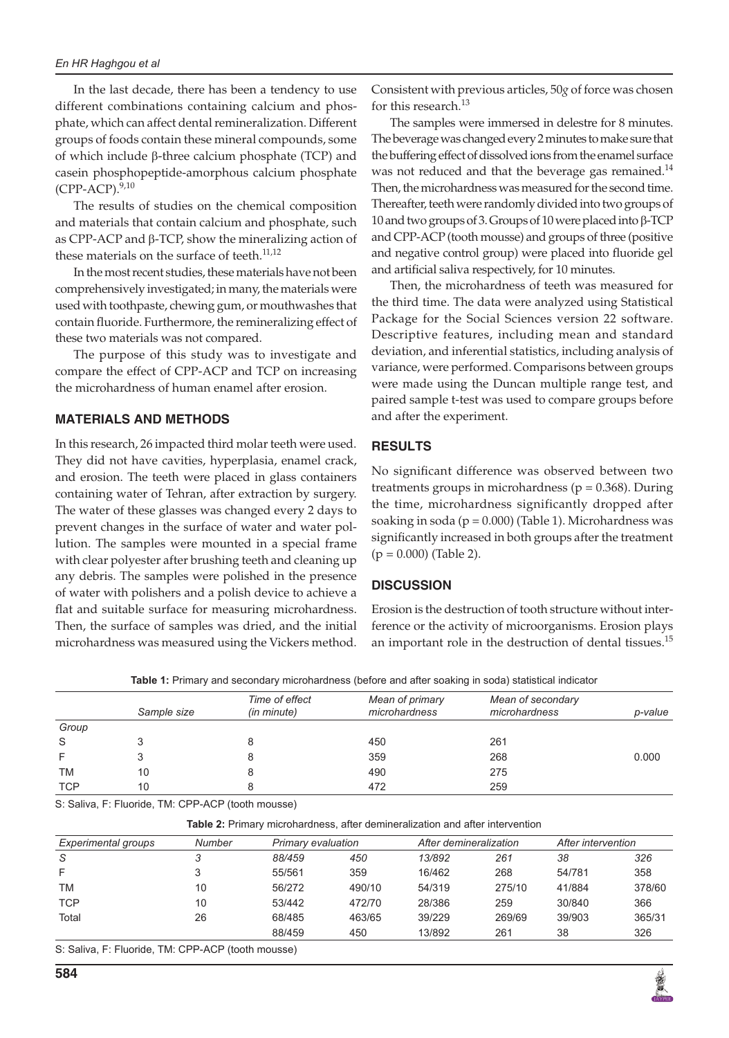#### *En HR Haghgou et al*

In the last decade, there has been a tendency to use different combinations containing calcium and phosphate, which can affect dental remineralization. Different groups of foods contain these mineral compounds, some of which include β-three calcium phosphate (TCP) and casein phosphopeptide-amorphous calcium phosphate (CPP-ACP).<sup>9,10</sup>

The results of studies on the chemical composition and materials that contain calcium and phosphate, such as CPP-ACP and β-TCP, show the mineralizing action of these materials on the surface of teeth.<sup>11,12</sup>

In the most recent studies, these materials have not been comprehensively investigated; in many, the materials were used with toothpaste, chewing gum, or mouthwashes that contain fluoride. Furthermore, the remineralizing effect of these two materials was not compared.

The purpose of this study was to investigate and compare the effect of CPP-ACP and TCP on increasing the microhardness of human enamel after erosion.

# **MATERIALS AND METHODS**

In this research, 26 impacted third molar teeth were used. They did not have cavities, hyperplasia, enamel crack, and erosion. The teeth were placed in glass containers containing water of Tehran, after extraction by surgery. The water of these glasses was changed every 2 days to prevent changes in the surface of water and water pollution. The samples were mounted in a special frame with clear polyester after brushing teeth and cleaning up any debris. The samples were polished in the presence of water with polishers and a polish device to achieve a flat and suitable surface for measuring microhardness. Then, the surface of samples was dried, and the initial microhardness was measured using the Vickers method.

Consistent with previous articles, 50*g* of force was chosen for this research.<sup>13</sup>

The samples were immersed in delestre for 8 minutes. The beverage was changed every 2 minutes to make sure that the buffering effect of dissolved ions from the enamel surface was not reduced and that the beverage gas remained.<sup>14</sup> Then, the microhardness was measured for the second time. Thereafter, teeth were randomly divided into two groups of 10 and two groups of 3. Groups of 10 were placed into β-TCP and CPP-ACP (tooth mousse) and groups of three (positive and negative control group) were placed into fluoride gel and artificial saliva respectively, for 10 minutes.

Then, the microhardness of teeth was measured for the third time. The data were analyzed using Statistical Package for the Social Sciences version 22 software. Descriptive features, including mean and standard deviation, and inferential statistics, including analysis of variance, were performed. Comparisons between groups were made using the Duncan multiple range test, and paired sample t-test was used to compare groups before and after the experiment.

# **RESULTS**

No significant difference was observed between two treatments groups in microhardness ( $p = 0.368$ ). During the time, microhardness significantly dropped after soaking in soda ( $p = 0.000$ ) (Table 1). Microhardness was significantly increased in both groups after the treatment  $(p = 0.000)$  (Table 2).

# **DISCUSSION**

Erosion is the destruction of tooth structure without interference or the activity of microorganisms. Erosion plays an important role in the destruction of dental tissues. $^{15}$ 

**Table 1:** Primary and secondary microhardness (before and after soaking in soda) statistical indicator

|            | Sample size | Time of effect<br>(in minute) | Mean of primary<br>microhardness | Mean of secondary<br>microhardness | p-value |
|------------|-------------|-------------------------------|----------------------------------|------------------------------------|---------|
| Group      |             |                               |                                  |                                    |         |
| S          |             |                               | 450                              | 261                                |         |
|            |             |                               | 359                              | 268                                | 0.000   |
| ТM         | 10          |                               | 490                              | 275                                |         |
| <b>TCP</b> | 10          |                               | 472                              | 259                                |         |

S: Saliva, F: Fluoride, TM: CPP-ACP (tooth mousse)

| <b>Table 2:</b> Primary microhardness, after demineralization and after intervention |               |                    |        |                        |        |                    |        |  |  |  |
|--------------------------------------------------------------------------------------|---------------|--------------------|--------|------------------------|--------|--------------------|--------|--|--|--|
| Experimental groups                                                                  | <b>Number</b> | Primary evaluation |        | After demineralization |        | After intervention |        |  |  |  |
| S                                                                                    |               | 88/459             | 450    | 13/892                 | 261    | 38                 | 326    |  |  |  |
| F                                                                                    |               | 55/561             | 359    | 16/462                 | 268    | 54/781             | 358    |  |  |  |
| TM                                                                                   | 10            | 56/272             | 490/10 | 54/319                 | 275/10 | 41/884             | 378/60 |  |  |  |
| <b>TCP</b>                                                                           | 10            | 53/442             | 472/70 | 28/386                 | 259    | 30/840             | 366    |  |  |  |
| Total                                                                                | 26            | 68/485             | 463/65 | 39/229                 | 269/69 | 39/903             | 365/31 |  |  |  |
|                                                                                      |               | 88/459             | 450    | 13/892                 | 261    | 38                 | 326    |  |  |  |

S: Saliva, F: Fluoride, TM: CPP-ACP (tooth mousse)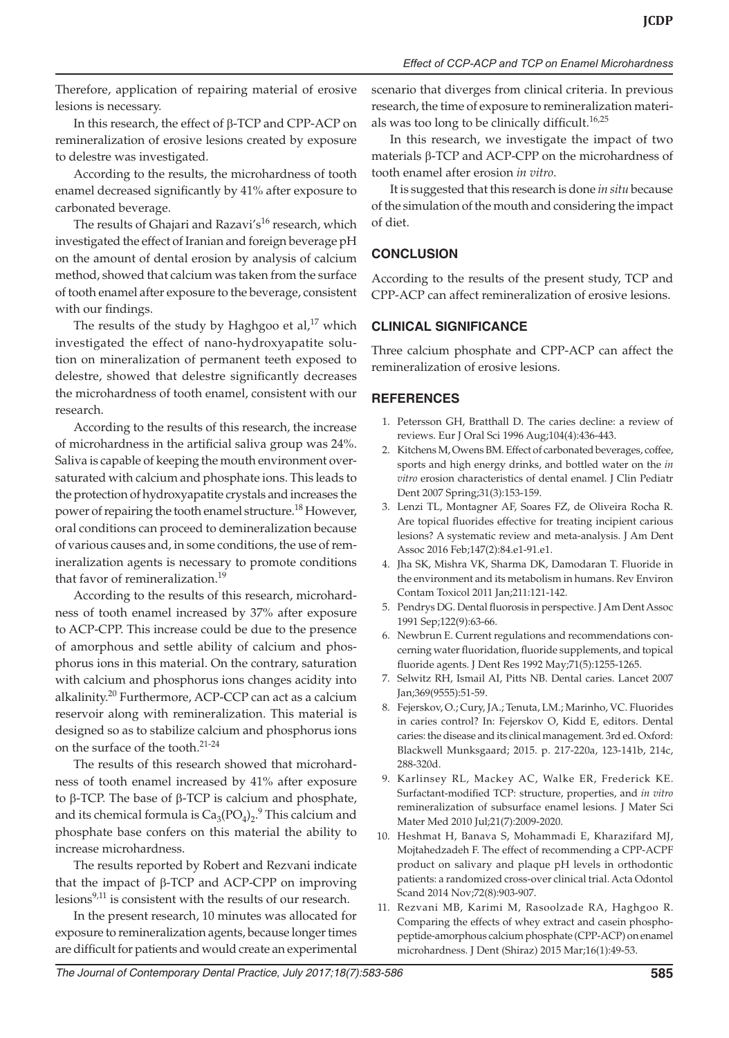Therefore, application of repairing material of erosive lesions is necessary.

In this research, the effect of β-TCP and CPP-ACP on remineralization of erosive lesions created by exposure to delestre was investigated.

According to the results, the microhardness of tooth enamel decreased significantly by 41% after exposure to carbonated beverage.

The results of Ghajari and Razavi's<sup>16</sup> research, which investigated the effect of Iranian and foreign beverage pH on the amount of dental erosion by analysis of calcium method, showed that calcium was taken from the surface of tooth enamel after exposure to the beverage, consistent with our findings.

The results of the study by Haghgoo et al, $^{17}$  which investigated the effect of nano-hydroxyapatite solution on mineralization of permanent teeth exposed to delestre, showed that delestre significantly decreases the microhardness of tooth enamel, consistent with our research.

According to the results of this research, the increase of microhardness in the artificial saliva group was 24%. Saliva is capable of keeping the mouth environment oversaturated with calcium and phosphate ions. This leads to the protection of hydroxyapatite crystals and increases the power of repairing the tooth enamel structure.<sup>18</sup> However, oral conditions can proceed to demineralization because of various causes and, in some conditions, the use of remineralization agents is necessary to promote conditions that favor of remineralization.<sup>19</sup>

According to the results of this research, microhardness of tooth enamel increased by 37% after exposure to ACP-CPP. This increase could be due to the presence of amorphous and settle ability of calcium and phosphorus ions in this material. On the contrary, saturation with calcium and phosphorus ions changes acidity into alkalinity.<sup>20</sup> Furthermore, ACP-CCP can act as a calcium reservoir along with remineralization. This material is designed so as to stabilize calcium and phosphorus ions on the surface of the tooth.21-24

The results of this research showed that microhardness of tooth enamel increased by 41% after exposure to β-TCP. The base of β-TCP is calcium and phosphate, and its chemical formula is  $Ca_3(PO_4)_2$ .<sup>9</sup> This calcium and phosphate base confers on this material the ability to increase microhardness.

The results reported by Robert and Rezvani indicate that the impact of β-TCP and ACP-CPP on improving lesions $9,11$  is consistent with the results of our research.

In the present research, 10 minutes was allocated for exposure to remineralization agents, because longer times are difficult for patients and would create an experimental scenario that diverges from clinical criteria. In previous research, the time of exposure to remineralization materials was too long to be clinically difficult.<sup>16,25</sup>

In this research, we investigate the impact of two materials β-TCP and ACP-CPP on the microhardness of tooth enamel after erosion *in vitro*.

It is suggested that this research is done *in situ* because of the simulation of the mouth and considering the impact of diet.

# **CONCLUSION**

According to the results of the present study, TCP and CPP-ACP can affect remineralization of erosive lesions.

# **CLINICAL SIGNIFICANCE**

Three calcium phosphate and CPP-ACP can affect the remineralization of erosive lesions.

### **REFERENCES**

- 1. Petersson GH, Bratthall D. The caries decline: a review of reviews. Eur J Oral Sci 1996 Aug;104(4):436-443.
- 2. Kitchens M, Owens BM. Effect of carbonated beverages, coffee, sports and high energy drinks, and bottled water on the *in vitro* erosion characteristics of dental enamel. J Clin Pediatr Dent 2007 Spring;31(3):153-159.
- 3. Lenzi TL, Montagner AF, Soares FZ, de Oliveira Rocha R. Are topical fluorides effective for treating incipient carious lesions? A systematic review and meta-analysis. J Am Dent Assoc 2016 Feb;147(2):84.e1-91.e1.
- 4. Jha SK, Mishra VK, Sharma DK, Damodaran T. Fluoride in the environment and its metabolism in humans. Rev Environ Contam Toxicol 2011 Jan;211:121-142.
- 5. Pendrys DG. Dental fluorosis in perspective. J Am Dent Assoc 1991 Sep;122(9):63-66.
- 6. Newbrun E. Current regulations and recommendations concerning water fluoridation, fluoride supplements, and topical fluoride agents. J Dent Res 1992 May;71(5):1255-1265.
- 7. Selwitz RH, Ismail AI, Pitts NB. Dental caries. Lancet 2007 Jan;369(9555):51-59.
- 8. Fejerskov, O.; Cury, JA.; Tenuta, LM.; Marinho, VC. Fluorides in caries control? In: Fejerskov O, Kidd E, editors. Dental caries: the disease and its clinical management. 3rd ed. Oxford: Blackwell Munksgaard; 2015. p. 217-220a, 123-141b, 214c, 288-320d.
- 9. Karlinsey RL, Mackey AC, Walke ER, Frederick KE. Surfactant-modified TCP: structure, properties, and *in vitro* remineralization of subsurface enamel lesions. J Mater Sci Mater Med 2010 Jul;21(7):2009-2020.
- 10. Heshmat H, Banava S, Mohammadi E, Kharazifard MJ, Mojtahedzadeh F. The effect of recommending a CPP-ACPF product on salivary and plaque pH levels in orthodontic patients: a randomized cross-over clinical trial. Acta Odontol Scand 2014 Nov;72(8):903-907.
- 11. Rezvani MB, Karimi M, Rasoolzade RA, Haghgoo R. Comparing the effects of whey extract and casein phosphopeptide-amorphous calcium phosphate (CPP-ACP) on enamel microhardness. J Dent (Shiraz) 2015 Mar;16(1):49-53.